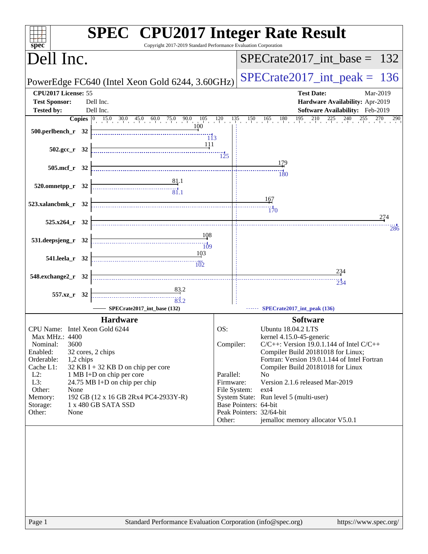| Copyright 2017-2019 Standard Performance Evaluation Corporation<br>spec <sup>®</sup>                                                                                                                                                                       | <b>SPEC<sup>®</sup></b> CPU2017 Integer Rate Result                       |
|------------------------------------------------------------------------------------------------------------------------------------------------------------------------------------------------------------------------------------------------------------|---------------------------------------------------------------------------|
| Dell Inc.                                                                                                                                                                                                                                                  | $SPECTate2017\_int\_base = 132$                                           |
| PowerEdge FC640 (Intel Xeon Gold 6244, 3.60GHz)                                                                                                                                                                                                            | $SPECrate2017\_int\_peak = 136$                                           |
| CPU2017 License: 55<br><b>Test Sponsor:</b><br>Dell Inc.                                                                                                                                                                                                   | <b>Test Date:</b><br>Mar-2019<br>Hardware Availability: Apr-2019          |
| <b>Tested by:</b><br>Dell Inc.                                                                                                                                                                                                                             | Software Availability: Feb-2019                                           |
| <b>Copies</b> $\begin{bmatrix} 0 & 15 & 0 & 30 & 0 & 45 & 0 & 60 & 0 & 75 & 0 & 90 & 0 & 105 & 120 & 135 & 150 & 165 & 180 & 195 & 210 & 225 & 240 \ 0 & & & & & & 100 & 0 & 0 & 0 \end{bmatrix}$<br>500.perlbench_r 32<br>$\overline{113}$<br><u> 111</u> | 255<br>290                                                                |
| $502.\text{gcc r} 32$                                                                                                                                                                                                                                      | $\overline{125}$                                                          |
| 505.mcf_r 32                                                                                                                                                                                                                                               | 179<br>180                                                                |
| $\begin{array}{c c}\n & 81.1 \\  \hline\n & 81.1\n\end{array}$<br>$520.0$ mnetpp_r $32$                                                                                                                                                                    |                                                                           |
| 523.xalancbmk_r 32                                                                                                                                                                                                                                         | 167<br>$\frac{1}{170}$                                                    |
| $525.x264_r$ 32                                                                                                                                                                                                                                            | 274<br>286                                                                |
| 108<br>531.deepsjeng_r 32<br>$\overline{109}$                                                                                                                                                                                                              |                                                                           |
| 103<br>541.leela r 32                                                                                                                                                                                                                                      |                                                                           |
| 548.exchange2_r 32                                                                                                                                                                                                                                         | 234                                                                       |
|                                                                                                                                                                                                                                                            | $\frac{11}{234}$                                                          |
| 557.xz_r 32<br>$\begin{array}{c c c c} \hline \textbf{1} & \textbf{1} & \textbf{1} & \textbf{1} \\ \hline \textbf{2} & \textbf{3} & \textbf{1} & \textbf{1} \\ \hline \textbf{3} & \textbf{2} & \textbf{1} & \textbf{1} \\ \hline \end{array}$             |                                                                           |
| SPECrate2017_int_base (132)                                                                                                                                                                                                                                | SPECrate2017_int_peak (136)                                               |
| <b>Hardware</b>                                                                                                                                                                                                                                            | <b>Software</b>                                                           |
| CPU Name: Intel Xeon Gold 6244                                                                                                                                                                                                                             | OS:<br><b>Ubuntu 18.04.2 LTS</b>                                          |
| <b>Max MHz.: 4400</b><br>3600                                                                                                                                                                                                                              | kernel 4.15.0-45-generic<br>$C/C++$ : Version 19.0.1.144 of Intel $C/C++$ |
| Nominal:<br>Enabled:<br>32 cores, 2 chips                                                                                                                                                                                                                  | Compiler:<br>Compiler Build 20181018 for Linux;                           |
| Orderable:<br>1,2 chips                                                                                                                                                                                                                                    | Fortran: Version 19.0.1.144 of Intel Fortran                              |
| $32$ KB I + 32 KB D on chip per core<br>Cache L1:                                                                                                                                                                                                          | Compiler Build 20181018 for Linux                                         |
| $L2$ :<br>1 MB I+D on chip per core                                                                                                                                                                                                                        | Parallel:<br>N <sub>o</sub>                                               |
| 24.75 MB I+D on chip per chip<br>L3:<br>Other:<br>None                                                                                                                                                                                                     | Version 2.1.6 released Mar-2019<br>Firmware:<br>File System:<br>$ext{4}$  |
| 192 GB (12 x 16 GB 2Rx4 PC4-2933Y-R)<br>Memory:                                                                                                                                                                                                            | System State: Run level 5 (multi-user)                                    |
| 1 x 480 GB SATA SSD<br>Storage:                                                                                                                                                                                                                            | Base Pointers: 64-bit                                                     |
| Other:<br>None                                                                                                                                                                                                                                             | Peak Pointers: 32/64-bit<br>jemalloc memory allocator V5.0.1<br>Other:    |
|                                                                                                                                                                                                                                                            |                                                                           |
|                                                                                                                                                                                                                                                            |                                                                           |
|                                                                                                                                                                                                                                                            |                                                                           |
|                                                                                                                                                                                                                                                            |                                                                           |
| Standard Performance Evaluation Corporation (info@spec.org)<br>Page 1                                                                                                                                                                                      | https://www.spec.org/                                                     |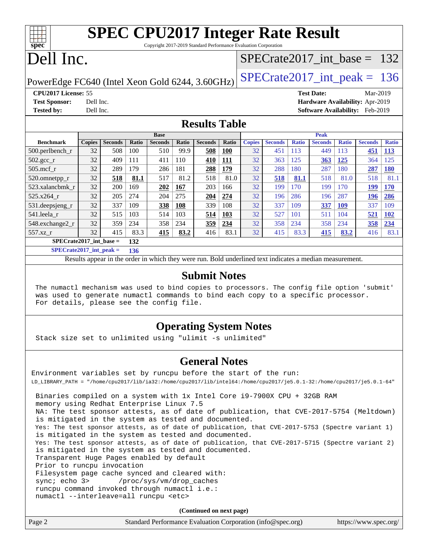| <b>SPEC CPU2017 Integer Rate Result</b>                                                                                             |  |
|-------------------------------------------------------------------------------------------------------------------------------------|--|
| $C_{\text{c}}$ and the 2017 2010 $C_{\text{t}}$ and $D_{\text{c}}$ of mass are $D_{\text{c}}$ and $C_{\text{c}}$ and $D_{\text{c}}$ |  |

Copyright 2017-2019 Standard Performance Evaluation Corporation

# Dell Inc.

**[spec](http://www.spec.org/)**

## [SPECrate2017\\_int\\_base =](http://www.spec.org/auto/cpu2017/Docs/result-fields.html#SPECrate2017intbase) 132

PowerEdge FC640 (Intel Xeon Gold 6244, 3.60GHz)  $\text{SPECrate}2017\_int\_peak = 136$ 

**[CPU2017 License:](http://www.spec.org/auto/cpu2017/Docs/result-fields.html#CPU2017License)** 55 **[Test Date:](http://www.spec.org/auto/cpu2017/Docs/result-fields.html#TestDate)** Mar-2019 **[Test Sponsor:](http://www.spec.org/auto/cpu2017/Docs/result-fields.html#TestSponsor)** Dell Inc. **[Hardware Availability:](http://www.spec.org/auto/cpu2017/Docs/result-fields.html#HardwareAvailability)** Apr-2019

**[Tested by:](http://www.spec.org/auto/cpu2017/Docs/result-fields.html#Testedby)** Dell Inc. **[Software Availability:](http://www.spec.org/auto/cpu2017/Docs/result-fields.html#SoftwareAvailability)** Feb-2019

### **[Results Table](http://www.spec.org/auto/cpu2017/Docs/result-fields.html#ResultsTable)**

|                           | <b>Base</b>   |                |       |                |            | <b>Peak</b>    |            |               |                |              |                |              |                |              |
|---------------------------|---------------|----------------|-------|----------------|------------|----------------|------------|---------------|----------------|--------------|----------------|--------------|----------------|--------------|
| <b>Benchmark</b>          | <b>Copies</b> | <b>Seconds</b> | Ratio | <b>Seconds</b> | Ratio      | <b>Seconds</b> | Ratio      | <b>Copies</b> | <b>Seconds</b> | <b>Ratio</b> | <b>Seconds</b> | <b>Ratio</b> | <b>Seconds</b> | <b>Ratio</b> |
| $500.$ perlbench_r        | 32            | 508            | 100   | 510            | 99.9       | 508            | <u>100</u> | 32            | 451            | 113          | 449            | 113          | 451            | <u>113</u>   |
| 502.gcc_r                 | 32            | 409            | 111   | 411            | 110        | 410            | <b>111</b> | 32            | 363            | 125          | 363            | 125          | 364            | 125          |
| $505$ .mcf r              | 32            | 289            | 179   | 286            | 181        | 288            | 179        | 32            | 288            | 180          | 287            | 180          | 287            | <b>180</b>   |
| 520.omnetpp_r             | 32            | 518            | 81.1  | 517            | 81.2       | 518            | 81.0       | 32            | 518            | 81.1         | 518            | 81.0         | 518            | 81.1         |
| 523.xalancbmk r           | 32            | 200            | 169   | 202            | 167        | 203            | 166        | 32            | 199            | 170          | 199            | 170          | 199            | <b>170</b>   |
| 525.x264 r                | 32            | 205            | 274   | 204            | 275        | 204            | 274        | 32            | 196            | 286          | 196            | 287          | 196            | 286          |
| 531.deepsjeng_r           | 32            | 337            | 109   | 338            | <b>108</b> | 339            | 108        | 32            | 337            | 109          | 337            | 109          | 337            | 109          |
| 541.leela r               | 32            | 515            | 103   | 514            | 103        | 514            | 103        | 32            | 527            | 101          | 511            | 104          | 521            | <b>102</b>   |
| 548.exchange2_r           | 32            | 359            | 234   | 358            | 234        | 359            | 234        | 32            | 358            | 234          | 358            | 234          | 358            | 234          |
| $557.xz$ r                | 32            | 415            | 83.3  | 415            | 83.2       | 416            | 83.1       | 32            | 415            | 83.3         | 415            | 83.2         | 416            | 83.1         |
| $SPECrate2017$ int base = |               |                | 132   |                |            |                |            |               |                |              |                |              |                |              |

**[SPECrate2017\\_int\\_peak =](http://www.spec.org/auto/cpu2017/Docs/result-fields.html#SPECrate2017intpeak) 136**

Results appear in the [order in which they were run.](http://www.spec.org/auto/cpu2017/Docs/result-fields.html#RunOrder) Bold underlined text [indicates a median measurement.](http://www.spec.org/auto/cpu2017/Docs/result-fields.html#Median)

### **[Submit Notes](http://www.spec.org/auto/cpu2017/Docs/result-fields.html#SubmitNotes)**

 The numactl mechanism was used to bind copies to processors. The config file option 'submit' was used to generate numactl commands to bind each copy to a specific processor. For details, please see the config file.

### **[Operating System Notes](http://www.spec.org/auto/cpu2017/Docs/result-fields.html#OperatingSystemNotes)**

Stack size set to unlimited using "ulimit -s unlimited"

### **[General Notes](http://www.spec.org/auto/cpu2017/Docs/result-fields.html#GeneralNotes)**

Environment variables set by runcpu before the start of the run: LD\_LIBRARY\_PATH = "/home/cpu2017/lib/ia32:/home/cpu2017/lib/intel64:/home/cpu2017/je5.0.1-32:/home/cpu2017/je5.0.1-64" Binaries compiled on a system with 1x Intel Core i9-7900X CPU + 32GB RAM memory using Redhat Enterprise Linux 7.5 NA: The test sponsor attests, as of date of publication, that CVE-2017-5754 (Meltdown) is mitigated in the system as tested and documented. Yes: The test sponsor attests, as of date of publication, that CVE-2017-5753 (Spectre variant 1) is mitigated in the system as tested and documented. Yes: The test sponsor attests, as of date of publication, that CVE-2017-5715 (Spectre variant 2) is mitigated in the system as tested and documented. Transparent Huge Pages enabled by default Prior to runcpu invocation Filesystem page cache synced and cleared with: sync; echo 3> /proc/sys/vm/drop\_caches runcpu command invoked through numactl i.e.: numactl --interleave=all runcpu <etc>

**(Continued on next page)**

| Page 2<br>https://www.spec.org/<br>Standard Performance Evaluation Corporation (info@spec.org) |
|------------------------------------------------------------------------------------------------|
|------------------------------------------------------------------------------------------------|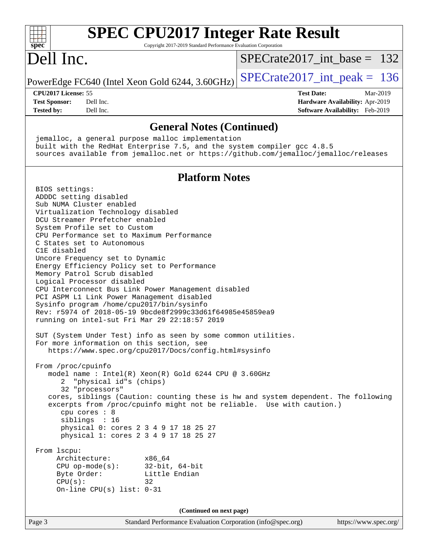| <b>SPEC CPU2017 Integer Rate Result</b><br>Copyright 2017-2019 Standard Performance Evaluation Corporation<br>spec <sup>®</sup>                                                                                                                                                                                                                                                                                                                                                                                                                                                                                                                                                                                                                                                                                                                                                                                                                                                                                                                                                                                                                                                                                                                                                                                                                                                                                                                             |                                                                    |
|-------------------------------------------------------------------------------------------------------------------------------------------------------------------------------------------------------------------------------------------------------------------------------------------------------------------------------------------------------------------------------------------------------------------------------------------------------------------------------------------------------------------------------------------------------------------------------------------------------------------------------------------------------------------------------------------------------------------------------------------------------------------------------------------------------------------------------------------------------------------------------------------------------------------------------------------------------------------------------------------------------------------------------------------------------------------------------------------------------------------------------------------------------------------------------------------------------------------------------------------------------------------------------------------------------------------------------------------------------------------------------------------------------------------------------------------------------------|--------------------------------------------------------------------|
| Dell Inc.                                                                                                                                                                                                                                                                                                                                                                                                                                                                                                                                                                                                                                                                                                                                                                                                                                                                                                                                                                                                                                                                                                                                                                                                                                                                                                                                                                                                                                                   | $SPECrate2017\_int\_base = 132$                                    |
| PowerEdge FC640 (Intel Xeon Gold 6244, 3.60GHz)                                                                                                                                                                                                                                                                                                                                                                                                                                                                                                                                                                                                                                                                                                                                                                                                                                                                                                                                                                                                                                                                                                                                                                                                                                                                                                                                                                                                             | $SPECrate2017\_int\_peak = 136$                                    |
| CPU2017 License: 55                                                                                                                                                                                                                                                                                                                                                                                                                                                                                                                                                                                                                                                                                                                                                                                                                                                                                                                                                                                                                                                                                                                                                                                                                                                                                                                                                                                                                                         | <b>Test Date:</b><br>Mar-2019                                      |
| <b>Test Sponsor:</b><br>Dell Inc.<br>Tested by:<br>Dell Inc.                                                                                                                                                                                                                                                                                                                                                                                                                                                                                                                                                                                                                                                                                                                                                                                                                                                                                                                                                                                                                                                                                                                                                                                                                                                                                                                                                                                                | Hardware Availability: Apr-2019<br>Software Availability: Feb-2019 |
|                                                                                                                                                                                                                                                                                                                                                                                                                                                                                                                                                                                                                                                                                                                                                                                                                                                                                                                                                                                                                                                                                                                                                                                                                                                                                                                                                                                                                                                             |                                                                    |
| <b>General Notes (Continued)</b>                                                                                                                                                                                                                                                                                                                                                                                                                                                                                                                                                                                                                                                                                                                                                                                                                                                                                                                                                                                                                                                                                                                                                                                                                                                                                                                                                                                                                            |                                                                    |
| jemalloc, a general purpose malloc implementation<br>built with the RedHat Enterprise 7.5, and the system compiler gcc 4.8.5<br>sources available from jemalloc.net or https://github.com/jemalloc/jemalloc/releases                                                                                                                                                                                                                                                                                                                                                                                                                                                                                                                                                                                                                                                                                                                                                                                                                                                                                                                                                                                                                                                                                                                                                                                                                                        |                                                                    |
| <b>Platform Notes</b>                                                                                                                                                                                                                                                                                                                                                                                                                                                                                                                                                                                                                                                                                                                                                                                                                                                                                                                                                                                                                                                                                                                                                                                                                                                                                                                                                                                                                                       |                                                                    |
| BIOS settings:<br>ADDDC setting disabled<br>Sub NUMA Cluster enabled<br>Virtualization Technology disabled<br>DCU Streamer Prefetcher enabled<br>System Profile set to Custom<br>CPU Performance set to Maximum Performance<br>C States set to Autonomous<br>C1E disabled<br>Uncore Frequency set to Dynamic<br>Energy Efficiency Policy set to Performance<br>Memory Patrol Scrub disabled<br>Logical Processor disabled<br>CPU Interconnect Bus Link Power Management disabled<br>PCI ASPM L1 Link Power Management disabled<br>Sysinfo program /home/cpu2017/bin/sysinfo<br>Rev: r5974 of 2018-05-19 9bcde8f2999c33d61f64985e45859ea9<br>running on intel-sut Fri Mar 29 22:18:57 2019<br>SUT (System Under Test) info as seen by some common utilities.<br>For more information on this section, see<br>https://www.spec.org/cpu2017/Docs/config.html#sysinfo<br>From /proc/cpuinfo<br>model name : Intel(R) Xeon(R) Gold 6244 CPU @ 3.60GHz<br>"physical id"s (chips)<br>32 "processors"<br>cores, siblings (Caution: counting these is hw and system dependent. The following<br>excerpts from /proc/cpuinfo might not be reliable. Use with caution.)<br>cpu cores : 8<br>siblings : 16<br>physical 0: cores 2 3 4 9 17 18 25 27<br>physical 1: cores 2 3 4 9 17 18 25 27<br>From lscpu:<br>Architecture:<br>x86_64<br>$32$ -bit, $64$ -bit<br>$CPU$ op-mode( $s$ ):<br>Little Endian<br>Byte Order:<br>CPU(s):<br>32<br>On-line CPU(s) list: $0-31$ |                                                                    |
| (Continued on next page)                                                                                                                                                                                                                                                                                                                                                                                                                                                                                                                                                                                                                                                                                                                                                                                                                                                                                                                                                                                                                                                                                                                                                                                                                                                                                                                                                                                                                                    |                                                                    |
| Page 3<br>Standard Performance Evaluation Corporation (info@spec.org)                                                                                                                                                                                                                                                                                                                                                                                                                                                                                                                                                                                                                                                                                                                                                                                                                                                                                                                                                                                                                                                                                                                                                                                                                                                                                                                                                                                       | https://www.spec.org/                                              |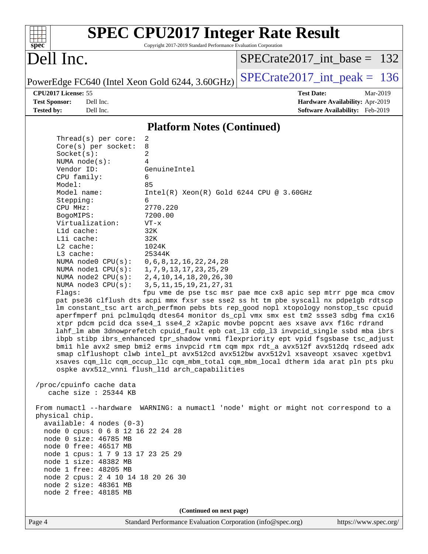| $spec^*$                                                   | <b>SPEC CPU2017 Integer Rate Result</b><br>Copyright 2017-2019 Standard Performance Evaluation Corporation                                                                |
|------------------------------------------------------------|---------------------------------------------------------------------------------------------------------------------------------------------------------------------------|
| Dell Inc.                                                  | $SPECrate2017$ int base = 132                                                                                                                                             |
| PowerEdge FC640 (Intel Xeon Gold 6244, 3.60GHz)            | $SPECrate2017\_int\_peak = 136$                                                                                                                                           |
| CPU2017 License: 55                                        | <b>Test Date:</b><br>Mar-2019                                                                                                                                             |
| <b>Test Sponsor:</b><br>Dell Inc.                          | Hardware Availability: Apr-2019                                                                                                                                           |
| <b>Tested by:</b><br>Dell Inc.                             | Software Availability: Feb-2019                                                                                                                                           |
|                                                            | <b>Platform Notes (Continued)</b>                                                                                                                                         |
| Thread( $s$ ) per core:                                    | 2                                                                                                                                                                         |
| Core(s) per socket:                                        | 8                                                                                                                                                                         |
| Socket(s):<br>NUMA node(s):                                | 2<br>4                                                                                                                                                                    |
| Vendor ID:                                                 | GenuineIntel                                                                                                                                                              |
| CPU family:                                                | 6                                                                                                                                                                         |
| Model:                                                     | 85                                                                                                                                                                        |
| Model name:                                                | $Intel(R)$ Xeon $(R)$ Gold 6244 CPU @ 3.60GHz<br>6                                                                                                                        |
| Stepping:<br>CPU MHz:                                      | 2770.220                                                                                                                                                                  |
| BogoMIPS:                                                  | 7200.00                                                                                                                                                                   |
| Virtualization:                                            | $VT - x$                                                                                                                                                                  |
| L1d cache:<br>Lli cache:                                   | 32K<br>32K                                                                                                                                                                |
| L2 cache:                                                  | 1024K                                                                                                                                                                     |
| L3 cache:                                                  | 25344K                                                                                                                                                                    |
| NUMA node0 CPU(s):                                         | 0, 6, 8, 12, 16, 22, 24, 28                                                                                                                                               |
| NUMA $node1$ $CPU(s):$<br>NUMA $node2$ $CPU(s):$           | 1, 7, 9, 13, 17, 23, 25, 29<br>2, 4, 10, 14, 18, 20, 26, 30                                                                                                               |
| NUMA node3 CPU(s):                                         | 3, 5, 11, 15, 19, 21, 27, 31                                                                                                                                              |
| Flaqs:                                                     | fpu vme de pse tsc msr pae mce cx8 apic sep mtrr pge mca cmov                                                                                                             |
|                                                            | pat pse36 clflush dts acpi mmx fxsr sse sse2 ss ht tm pbe syscall nx pdpe1gb rdtscp                                                                                       |
|                                                            | lm constant_tsc art arch_perfmon pebs bts rep_good nopl xtopology nonstop_tsc cpuid<br>aperfmperf pni pclmulqdq dtes64 monitor ds_cpl vmx smx est tm2 ssse3 sdbg fma cx16 |
|                                                            | xtpr pdcm pcid dca sse4_1 sse4_2 x2apic movbe popcnt aes xsave avx f16c rdrand                                                                                            |
|                                                            | lahf_lm abm 3dnowprefetch cpuid_fault epb cat_13 cdp_13 invpcid_single ssbd mba ibrs                                                                                      |
|                                                            | ibpb stibp ibrs_enhanced tpr_shadow vnmi flexpriority ept vpid fsgsbase tsc_adjust<br>bmil hle avx2 smep bmi2 erms invpcid rtm cqm mpx rdt_a avx512f avx512dq rdseed adx  |
|                                                            | smap clflushopt clwb intel_pt avx512cd avx512bw avx512vl xsaveopt xsavec xgetbvl                                                                                          |
|                                                            | xsaves cqm_llc cqm_occup_llc cqm_mbm_total cqm_mbm_local dtherm ida arat pln pts pku                                                                                      |
|                                                            | ospke avx512_vnni flush_l1d arch_capabilities                                                                                                                             |
| /proc/cpuinfo cache data<br>cache size : 25344 KB          |                                                                                                                                                                           |
| physical chip.                                             | From numactl --hardware WARNING: a numactl 'node' might or might not correspond to a                                                                                      |
| $available: 4 nodes (0-3)$                                 |                                                                                                                                                                           |
| node 0 cpus: 0 6 8 12 16 22 24 28                          |                                                                                                                                                                           |
| node 0 size: 46785 MB                                      |                                                                                                                                                                           |
| node 0 free: 46517 MB<br>node 1 cpus: 1 7 9 13 17 23 25 29 |                                                                                                                                                                           |
| node 1 size: 48382 MB                                      |                                                                                                                                                                           |
| node 1 free: 48205 MB                                      |                                                                                                                                                                           |
| node 2 cpus: 2 4 10 14 18 20 26 30                         |                                                                                                                                                                           |
| node 2 size: 48361 MB<br>node 2 free: 48185 MB             |                                                                                                                                                                           |
|                                                            |                                                                                                                                                                           |
|                                                            | (Continued on next page)                                                                                                                                                  |
|                                                            |                                                                                                                                                                           |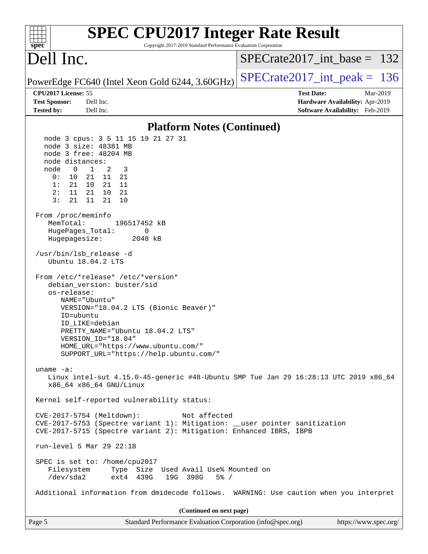| <b>SPEC CPU2017 Integer Rate Result</b><br>Copyright 2017-2019 Standard Performance Evaluation Corporation<br>$spec^*$                                                                                                                                                                                                                                                                                                                                                                                                                                                                                                                                                                                                                                         |                                                                                                     |
|----------------------------------------------------------------------------------------------------------------------------------------------------------------------------------------------------------------------------------------------------------------------------------------------------------------------------------------------------------------------------------------------------------------------------------------------------------------------------------------------------------------------------------------------------------------------------------------------------------------------------------------------------------------------------------------------------------------------------------------------------------------|-----------------------------------------------------------------------------------------------------|
| Dell Inc.                                                                                                                                                                                                                                                                                                                                                                                                                                                                                                                                                                                                                                                                                                                                                      | $SPECrate2017$ int base = 132                                                                       |
| PowerEdge FC640 (Intel Xeon Gold 6244, 3.60GHz)                                                                                                                                                                                                                                                                                                                                                                                                                                                                                                                                                                                                                                                                                                                | $SPECrate2017\_int\_peak = 136$                                                                     |
| CPU2017 License: 55<br>Dell Inc.<br><b>Test Sponsor:</b><br>Dell Inc.<br><b>Tested by:</b>                                                                                                                                                                                                                                                                                                                                                                                                                                                                                                                                                                                                                                                                     | <b>Test Date:</b><br>Mar-2019<br>Hardware Availability: Apr-2019<br>Software Availability: Feb-2019 |
| <b>Platform Notes (Continued)</b>                                                                                                                                                                                                                                                                                                                                                                                                                                                                                                                                                                                                                                                                                                                              |                                                                                                     |
| node 3 cpus: 3 5 11 15 19 21 27 31<br>node 3 size: 48381 MB<br>node 3 free: 48204 MB<br>node distances:<br>2<br>$\mathbf{1}$<br>3<br>node<br>$\overline{0}$<br>0:<br>10<br>21 11 21<br>1:<br>10<br>21<br>21<br>- 11<br>2:<br>11<br>21<br>21<br>10<br>3:<br>21<br>11<br>21<br>10<br>From /proc/meminfo<br>MemTotal:<br>196517452 kB<br>HugePages_Total:<br>0<br>Hugepagesize:<br>2048 kB<br>/usr/bin/lsb_release -d<br>Ubuntu 18.04.2 LTS<br>From /etc/*release* /etc/*version*<br>debian_version: buster/sid<br>os-release:<br>NAME="Ubuntu"<br>VERSION="18.04.2 LTS (Bionic Beaver)"<br>ID=ubuntu<br>ID LIKE=debian<br>PRETTY_NAME="Ubuntu 18.04.2 LTS"<br>VERSION_ID="18.04"<br>HOME_URL="https://www.ubuntu.com/"<br>SUPPORT_URL="https://help.ubuntu.com/" |                                                                                                     |
| uname $-a$ :<br>Linux intel-sut 4.15.0-45-generic #48-Ubuntu SMP Tue Jan 29 16:28:13 UTC 2019 x86_64<br>x86_64 x86_64 GNU/Linux                                                                                                                                                                                                                                                                                                                                                                                                                                                                                                                                                                                                                                |                                                                                                     |
| Kernel self-reported vulnerability status:                                                                                                                                                                                                                                                                                                                                                                                                                                                                                                                                                                                                                                                                                                                     |                                                                                                     |
| CVE-2017-5754 (Meltdown):<br>Not affected<br>CVE-2017-5753 (Spectre variant 1): Mitigation: __user pointer sanitization<br>CVE-2017-5715 (Spectre variant 2): Mitigation: Enhanced IBRS, IBPB                                                                                                                                                                                                                                                                                                                                                                                                                                                                                                                                                                  |                                                                                                     |
| run-level 5 Mar 29 22:18                                                                                                                                                                                                                                                                                                                                                                                                                                                                                                                                                                                                                                                                                                                                       |                                                                                                     |
| SPEC is set to: /home/cpu2017<br>Filesystem<br>Type Size Used Avail Use% Mounted on<br>/dev/sda2<br>ext4 439G<br>19G 398G<br>$5\%$ /                                                                                                                                                                                                                                                                                                                                                                                                                                                                                                                                                                                                                           |                                                                                                     |
| Additional information from dmidecode follows. WARNING: Use caution when you interpret                                                                                                                                                                                                                                                                                                                                                                                                                                                                                                                                                                                                                                                                         |                                                                                                     |
| (Continued on next page)                                                                                                                                                                                                                                                                                                                                                                                                                                                                                                                                                                                                                                                                                                                                       |                                                                                                     |
| Page 5<br>Standard Performance Evaluation Corporation (info@spec.org)                                                                                                                                                                                                                                                                                                                                                                                                                                                                                                                                                                                                                                                                                          | https://www.spec.org/                                                                               |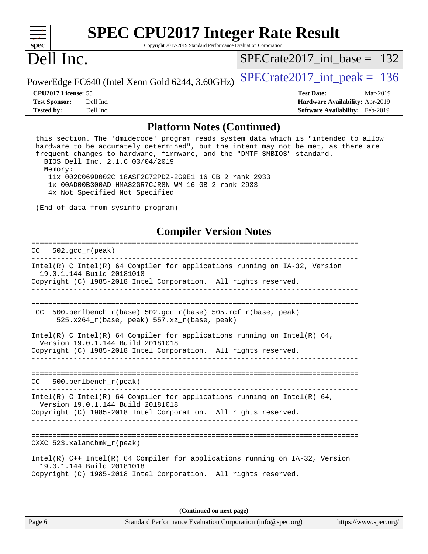| s<br>E<br>n<br>¢<br>÷, |  |  |  |  |  |
|------------------------|--|--|--|--|--|

# **[SPEC CPU2017 Integer Rate Result](http://www.spec.org/auto/cpu2017/Docs/result-fields.html#SPECCPU2017IntegerRateResult)**

Copyright 2017-2019 Standard Performance Evaluation Corporation

## Dell Inc.

[SPECrate2017\\_int\\_base =](http://www.spec.org/auto/cpu2017/Docs/result-fields.html#SPECrate2017intbase) 132

PowerEdge FC640 (Intel Xeon Gold 6244, 3.60GHz)  $\left|$  [SPECrate2017\\_int\\_peak =](http://www.spec.org/auto/cpu2017/Docs/result-fields.html#SPECrate2017intpeak) 136

**[Tested by:](http://www.spec.org/auto/cpu2017/Docs/result-fields.html#Testedby)** Dell Inc. **[Software Availability:](http://www.spec.org/auto/cpu2017/Docs/result-fields.html#SoftwareAvailability)** Feb-2019

**[CPU2017 License:](http://www.spec.org/auto/cpu2017/Docs/result-fields.html#CPU2017License)** 55 **[Test Date:](http://www.spec.org/auto/cpu2017/Docs/result-fields.html#TestDate)** Mar-2019 **[Test Sponsor:](http://www.spec.org/auto/cpu2017/Docs/result-fields.html#TestSponsor)** Dell Inc. **[Hardware Availability:](http://www.spec.org/auto/cpu2017/Docs/result-fields.html#HardwareAvailability)** Apr-2019

### **[Platform Notes \(Continued\)](http://www.spec.org/auto/cpu2017/Docs/result-fields.html#PlatformNotes)**

 this section. The 'dmidecode' program reads system data which is "intended to allow hardware to be accurately determined", but the intent may not be met, as there are frequent changes to hardware, firmware, and the "DMTF SMBIOS" standard. BIOS Dell Inc. 2.1.6 03/04/2019 Memory: 11x 002C069D002C 18ASF2G72PDZ-2G9E1 16 GB 2 rank 2933 1x 00AD00B300AD HMA82GR7CJR8N-WM 16 GB 2 rank 2933

4x Not Specified Not Specified

(End of data from sysinfo program)

### **[Compiler Version Notes](http://www.spec.org/auto/cpu2017/Docs/result-fields.html#CompilerVersionNotes)**

| $502 \text{ qcc r (peak)}$<br>CC                                                                                                                                                 |
|----------------------------------------------------------------------------------------------------------------------------------------------------------------------------------|
| $Intel(R)$ C Intel(R) 64 Compiler for applications running on $IA-32$ , Version<br>19.0.1.144 Build 20181018<br>Copyright (C) 1985-2018 Intel Corporation. All rights reserved.  |
| 500.perlbench_r(base) 502.gcc_r(base) 505.mcf_r(base, peak)<br>CC.<br>525.x264_r(base, peak) 557.xz_r(base, peak)                                                                |
| Intel(R) C Intel(R) 64 Compiler for applications running on Intel(R) 64,<br>Version 19.0.1.144 Build 20181018<br>Copyright (C) 1985-2018 Intel Corporation. All rights reserved. |
| $500.$ perlbench $r$ (peak)<br>CC.                                                                                                                                               |
| Intel(R) C Intel(R) 64 Compiler for applications running on Intel(R) 64,<br>Version 19.0.1.144 Build 20181018<br>Copyright (C) 1985-2018 Intel Corporation. All rights reserved. |
| CXXC $523.$ xalancbmk $r(\text{peak})$                                                                                                                                           |
| $Intel(R)$ C++ Intel(R) 64 Compiler for applications running on IA-32, Version<br>19.0.1.144 Build 20181018<br>Copyright (C) 1985-2018 Intel Corporation. All rights reserved.   |

**(Continued on next page)**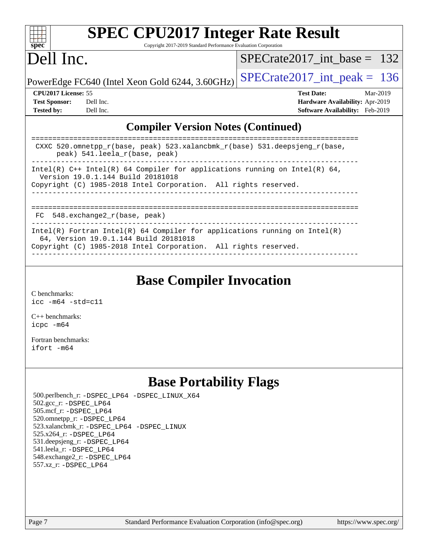| SI<br>эe<br>I<br>Ľ |  |  |  |  |  |
|--------------------|--|--|--|--|--|

# **[SPEC CPU2017 Integer Rate Result](http://www.spec.org/auto/cpu2017/Docs/result-fields.html#SPECCPU2017IntegerRateResult)**

Copyright 2017-2019 Standard Performance Evaluation Corporation

## Dell Inc.

[SPECrate2017\\_int\\_base =](http://www.spec.org/auto/cpu2017/Docs/result-fields.html#SPECrate2017intbase) 132

PowerEdge FC640 (Intel Xeon Gold 6244, 3.60GHz)  $\text{SPECrate}2017\_int\_peak = 136$ 

**[Tested by:](http://www.spec.org/auto/cpu2017/Docs/result-fields.html#Testedby)** Dell Inc. **[Software Availability:](http://www.spec.org/auto/cpu2017/Docs/result-fields.html#SoftwareAvailability)** Feb-2019

**[CPU2017 License:](http://www.spec.org/auto/cpu2017/Docs/result-fields.html#CPU2017License)** 55 **[Test Date:](http://www.spec.org/auto/cpu2017/Docs/result-fields.html#TestDate)** Mar-2019 **[Test Sponsor:](http://www.spec.org/auto/cpu2017/Docs/result-fields.html#TestSponsor)** Dell Inc. **[Hardware Availability:](http://www.spec.org/auto/cpu2017/Docs/result-fields.html#HardwareAvailability)** Apr-2019

### **[Compiler Version Notes \(Continued\)](http://www.spec.org/auto/cpu2017/Docs/result-fields.html#CompilerVersionNotes)**

| CXXC 520.omnetpp $r(base, peak)$ 523.xalancbmk $r(base)$ 531.deepsjeng $r(base,$<br>peak) 541. leela r(base, peak)                                                                     |
|----------------------------------------------------------------------------------------------------------------------------------------------------------------------------------------|
| Intel(R) $C++$ Intel(R) 64 Compiler for applications running on Intel(R) 64,<br>Version 19.0.1.144 Build 20181018<br>Copyright (C) 1985-2018 Intel Corporation. All rights reserved.   |
| $FC$ 548. exchange2 $r(base, peak)$                                                                                                                                                    |
| Intel(R) Fortran Intel(R) 64 Compiler for applications running on Intel(R)<br>64, Version 19.0.1.144 Build 20181018<br>Copyright (C) 1985-2018 Intel Corporation. All rights reserved. |

**[Base Compiler Invocation](http://www.spec.org/auto/cpu2017/Docs/result-fields.html#BaseCompilerInvocation)**

[C benchmarks](http://www.spec.org/auto/cpu2017/Docs/result-fields.html#Cbenchmarks): [icc -m64 -std=c11](http://www.spec.org/cpu2017/results/res2019q3/cpu2017-20190708-15946.flags.html#user_CCbase_intel_icc_64bit_c11_33ee0cdaae7deeeab2a9725423ba97205ce30f63b9926c2519791662299b76a0318f32ddfffdc46587804de3178b4f9328c46fa7c2b0cd779d7a61945c91cd35)

[C++ benchmarks:](http://www.spec.org/auto/cpu2017/Docs/result-fields.html#CXXbenchmarks) [icpc -m64](http://www.spec.org/cpu2017/results/res2019q3/cpu2017-20190708-15946.flags.html#user_CXXbase_intel_icpc_64bit_4ecb2543ae3f1412ef961e0650ca070fec7b7afdcd6ed48761b84423119d1bf6bdf5cad15b44d48e7256388bc77273b966e5eb805aefd121eb22e9299b2ec9d9)

[Fortran benchmarks](http://www.spec.org/auto/cpu2017/Docs/result-fields.html#Fortranbenchmarks): [ifort -m64](http://www.spec.org/cpu2017/results/res2019q3/cpu2017-20190708-15946.flags.html#user_FCbase_intel_ifort_64bit_24f2bb282fbaeffd6157abe4f878425411749daecae9a33200eee2bee2fe76f3b89351d69a8130dd5949958ce389cf37ff59a95e7a40d588e8d3a57e0c3fd751)

## **[Base Portability Flags](http://www.spec.org/auto/cpu2017/Docs/result-fields.html#BasePortabilityFlags)**

 500.perlbench\_r: [-DSPEC\\_LP64](http://www.spec.org/cpu2017/results/res2019q3/cpu2017-20190708-15946.flags.html#b500.perlbench_r_basePORTABILITY_DSPEC_LP64) [-DSPEC\\_LINUX\\_X64](http://www.spec.org/cpu2017/results/res2019q3/cpu2017-20190708-15946.flags.html#b500.perlbench_r_baseCPORTABILITY_DSPEC_LINUX_X64) 502.gcc\_r: [-DSPEC\\_LP64](http://www.spec.org/cpu2017/results/res2019q3/cpu2017-20190708-15946.flags.html#suite_basePORTABILITY502_gcc_r_DSPEC_LP64) 505.mcf\_r: [-DSPEC\\_LP64](http://www.spec.org/cpu2017/results/res2019q3/cpu2017-20190708-15946.flags.html#suite_basePORTABILITY505_mcf_r_DSPEC_LP64) 520.omnetpp\_r: [-DSPEC\\_LP64](http://www.spec.org/cpu2017/results/res2019q3/cpu2017-20190708-15946.flags.html#suite_basePORTABILITY520_omnetpp_r_DSPEC_LP64) 523.xalancbmk\_r: [-DSPEC\\_LP64](http://www.spec.org/cpu2017/results/res2019q3/cpu2017-20190708-15946.flags.html#suite_basePORTABILITY523_xalancbmk_r_DSPEC_LP64) [-DSPEC\\_LINUX](http://www.spec.org/cpu2017/results/res2019q3/cpu2017-20190708-15946.flags.html#b523.xalancbmk_r_baseCXXPORTABILITY_DSPEC_LINUX) 525.x264\_r: [-DSPEC\\_LP64](http://www.spec.org/cpu2017/results/res2019q3/cpu2017-20190708-15946.flags.html#suite_basePORTABILITY525_x264_r_DSPEC_LP64) 531.deepsjeng\_r: [-DSPEC\\_LP64](http://www.spec.org/cpu2017/results/res2019q3/cpu2017-20190708-15946.flags.html#suite_basePORTABILITY531_deepsjeng_r_DSPEC_LP64) 541.leela\_r: [-DSPEC\\_LP64](http://www.spec.org/cpu2017/results/res2019q3/cpu2017-20190708-15946.flags.html#suite_basePORTABILITY541_leela_r_DSPEC_LP64) 548.exchange2\_r: [-DSPEC\\_LP64](http://www.spec.org/cpu2017/results/res2019q3/cpu2017-20190708-15946.flags.html#suite_basePORTABILITY548_exchange2_r_DSPEC_LP64) 557.xz\_r: [-DSPEC\\_LP64](http://www.spec.org/cpu2017/results/res2019q3/cpu2017-20190708-15946.flags.html#suite_basePORTABILITY557_xz_r_DSPEC_LP64)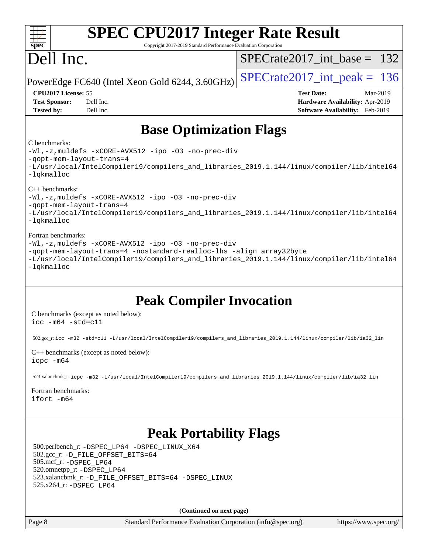| <b>SPEC CPU2017 Integer Rate Result</b><br>Copyright 2017-2019 Standard Performance Evaluation Corporation<br>$spec^*$                                                                                                                                          |                                                                                                     |
|-----------------------------------------------------------------------------------------------------------------------------------------------------------------------------------------------------------------------------------------------------------------|-----------------------------------------------------------------------------------------------------|
| Dell Inc.                                                                                                                                                                                                                                                       | $SPECrate2017\_int\_base = 132$                                                                     |
| PowerEdge FC640 (Intel Xeon Gold 6244, 3.60GHz)                                                                                                                                                                                                                 | $SPECTate2017$ _int_peak = 136                                                                      |
| CPU2017 License: 55<br><b>Test Sponsor:</b><br>Dell Inc.<br><b>Tested by:</b><br>Dell Inc.                                                                                                                                                                      | <b>Test Date:</b><br>Mar-2019<br>Hardware Availability: Apr-2019<br>Software Availability: Feb-2019 |
| <b>Base Optimization Flags</b>                                                                                                                                                                                                                                  |                                                                                                     |
| C benchmarks:<br>-Wl,-z, muldefs -xCORE-AVX512 -ipo -03 -no-prec-div<br>-qopt-mem-layout-trans=4<br>-L/usr/local/IntelCompiler19/compilers_and_libraries_2019.1.144/linux/compiler/lib/intel64<br>-lqkmalloc                                                    |                                                                                                     |
| $C_{++}$ benchmarks:<br>-Wl,-z, muldefs -xCORE-AVX512 -ipo -03 -no-prec-div<br>-qopt-mem-layout-trans=4<br>-L/usr/local/IntelCompiler19/compilers_and_libraries_2019.1.144/linux/compiler/lib/intel64<br>$-lq$ kmalloc                                          |                                                                                                     |
| Fortran benchmarks:<br>-Wl,-z, muldefs -xCORE-AVX512 -ipo -03 -no-prec-div<br>-qopt-mem-layout-trans=4 -nostandard-realloc-lhs -align array32byte<br>-L/usr/local/IntelCompiler19/compilers_and_libraries_2019.1.144/linux/compiler/lib/intel64<br>-lqkmalloc   |                                                                                                     |
| <b>Peak Compiler Invocation</b><br>C benchmarks (except as noted below):<br>$\texttt{icc -m64 -std=cl1}$                                                                                                                                                        |                                                                                                     |
| 502.gcc_r:icc -m32 -std=c11 -L/usr/local/IntelCompiler19/compilers_and_libraries_2019.1.144/linux/compiler/lib/ia32_lin<br>C++ benchmarks (except as noted below):                                                                                              |                                                                                                     |
| icpc -m64<br>523.xalancbmk_r: icpc -m32 -L/usr/local/IntelCompiler19/compilers_and_libraries_2019.1.144/linux/compiler/lib/ia32_lin<br>Fortran benchmarks:<br>ifort -m64                                                                                        |                                                                                                     |
| <b>Peak Portability Flags</b><br>500.perlbench_r: -DSPEC_LP64 -DSPEC_LINUX_X64<br>502.gcc_r: -D_FILE_OFFSET_BITS=64<br>505.mcf_r: -DSPEC_LP64<br>520.omnetpp_r: -DSPEC_LP64<br>523.xalancbmk_r: -D_FILE_OFFSET_BITS=64 -DSPEC_LINUX<br>525.x264_r: - DSPEC_LP64 |                                                                                                     |
| (Continued on next page)                                                                                                                                                                                                                                        |                                                                                                     |
| Page 8<br>Standard Performance Evaluation Corporation (info@spec.org)                                                                                                                                                                                           | https://www.spec.org/                                                                               |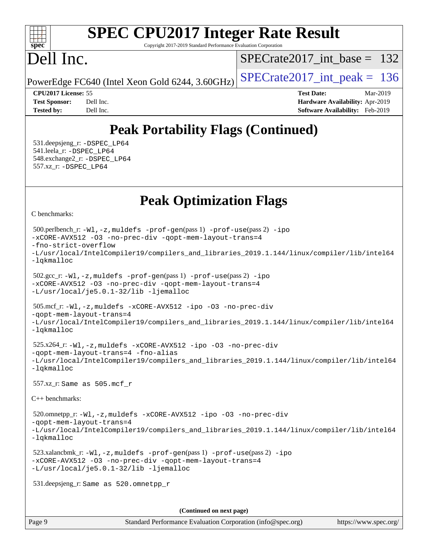### $+\ +$ **[spec](http://www.spec.org/)**

# **[SPEC CPU2017 Integer Rate Result](http://www.spec.org/auto/cpu2017/Docs/result-fields.html#SPECCPU2017IntegerRateResult)**

Copyright 2017-2019 Standard Performance Evaluation Corporation

## Dell Inc.

[SPECrate2017\\_int\\_base =](http://www.spec.org/auto/cpu2017/Docs/result-fields.html#SPECrate2017intbase) 132

PowerEdge FC640 (Intel Xeon Gold 6244, 3.60GHz)  $\left|$  [SPECrate2017\\_int\\_peak =](http://www.spec.org/auto/cpu2017/Docs/result-fields.html#SPECrate2017intpeak) 136

**[Tested by:](http://www.spec.org/auto/cpu2017/Docs/result-fields.html#Testedby)** Dell Inc. **[Software Availability:](http://www.spec.org/auto/cpu2017/Docs/result-fields.html#SoftwareAvailability)** Feb-2019

**[CPU2017 License:](http://www.spec.org/auto/cpu2017/Docs/result-fields.html#CPU2017License)** 55 **[Test Date:](http://www.spec.org/auto/cpu2017/Docs/result-fields.html#TestDate)** Mar-2019 **[Test Sponsor:](http://www.spec.org/auto/cpu2017/Docs/result-fields.html#TestSponsor)** Dell Inc. **[Hardware Availability:](http://www.spec.org/auto/cpu2017/Docs/result-fields.html#HardwareAvailability)** Apr-2019

## **[Peak Portability Flags \(Continued\)](http://www.spec.org/auto/cpu2017/Docs/result-fields.html#PeakPortabilityFlags)**

 531.deepsjeng\_r: [-DSPEC\\_LP64](http://www.spec.org/cpu2017/results/res2019q3/cpu2017-20190708-15946.flags.html#suite_peakPORTABILITY531_deepsjeng_r_DSPEC_LP64) 541.leela\_r: [-DSPEC\\_LP64](http://www.spec.org/cpu2017/results/res2019q3/cpu2017-20190708-15946.flags.html#suite_peakPORTABILITY541_leela_r_DSPEC_LP64) 548.exchange2\_r: [-DSPEC\\_LP64](http://www.spec.org/cpu2017/results/res2019q3/cpu2017-20190708-15946.flags.html#suite_peakPORTABILITY548_exchange2_r_DSPEC_LP64) 557.xz\_r: [-DSPEC\\_LP64](http://www.spec.org/cpu2017/results/res2019q3/cpu2017-20190708-15946.flags.html#suite_peakPORTABILITY557_xz_r_DSPEC_LP64)

## **[Peak Optimization Flags](http://www.spec.org/auto/cpu2017/Docs/result-fields.html#PeakOptimizationFlags)**

[C benchmarks](http://www.spec.org/auto/cpu2017/Docs/result-fields.html#Cbenchmarks):

```
(info@spec.org)https://www.spec.org/
  500.perlbench_r: -Wl,-z,muldefs -prof-gen(pass 1) -prof-use(pass 2) -ipo
-xCORE-AVX512 -O3 -no-prec-div -qopt-mem-layout-trans=4
-fno-strict-overflow
-L/usr/local/IntelCompiler19/compilers_and_libraries_2019.1.144/linux/compiler/lib/intel64
-lqkmalloc
  502.gcc_r: -Wl,-z,muldefs -prof-gen(pass 1) -prof-use(pass 2) -ipo
-xCORE-AVX512 -O3 -no-prec-div -qopt-mem-layout-trans=4
-L/usr/local/je5.0.1-32/lib -ljemalloc
  505.mcf_r: -Wl,-z,muldefs -xCORE-AVX512 -ipo -O3 -no-prec-div
-qopt-mem-layout-trans=4
-L/usr/local/IntelCompiler19/compilers_and_libraries_2019.1.144/linux/compiler/lib/intel64
-lqkmalloc
  525.x264_r: -Wl,-z,muldefs -xCORE-AVX512 -ipo -O3 -no-prec-div
-qopt-mem-layout-trans=4 -fno-alias
-L/usr/local/IntelCompiler19/compilers_and_libraries_2019.1.144/linux/compiler/lib/intel64
-lqkmalloc
  557.xz_r: Same as 505.mcf_r
C++ benchmarks: 
  520.omnetpp_r: -Wl,-z,muldefs -xCORE-AVX512 -ipo -O3 -no-prec-div
-qopt-mem-layout-trans=4
-L/usr/local/IntelCompiler19/compilers_and_libraries_2019.1.144/linux/compiler/lib/intel64
-lqkmalloc
  523.xalancbmk_r: -Wl,-z,muldefs -prof-gen(pass 1) -prof-use(pass 2) -ipo
-xCORE-AVX512 -O3 -no-prec-div -qopt-mem-layout-trans=4
-L/usr/local/je5.0.1-32/lib -ljemalloc
  531.deepsjeng_r: Same as 520.omnetpp_r
                                     (Continued on next page)
```